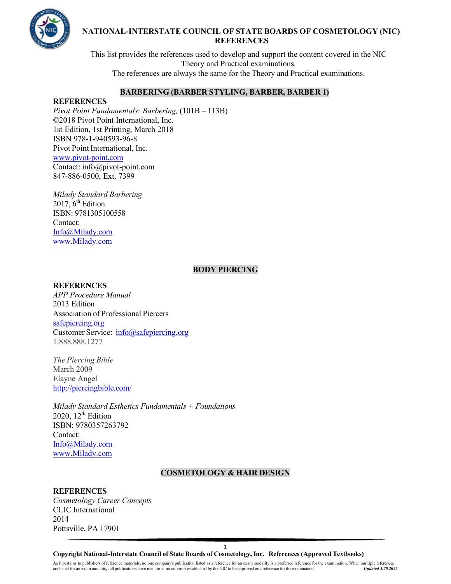

This list provides the references used to develop and support the content covered in the NIC Theory and Practical examinations. The references are always the same for the Theory and Practical examinations.

## **BARBERING (BARBER STYLING, BARBER, BARBER 1)**

## **REFERENCES**

*Pivot Point Fundamentals: Barbering,* (101B – 113B) ©2018 Pivot Point International, Inc. 1st Edition, 1st Printing, March 2018 ISBN 978-1-940593-96-8 Pivot Point International, Inc. [www.pivot-point.com](http://www.pivot-point.com/) Contact: [info@pivot-point.com](mailto:info@pivot-point.com) 847-886-0500, Ext. 7399

*Milady Standard Barbering* 2017,  $6<sup>th</sup>$  Edition ISBN: 9781305100558 Contact: [Info@Milady.com](mailto:Info@Milady.com) [www.Milady.com](http://www.milady.com/)

### **BODY PIERCING**

#### **REFERENCES**

*APP Procedure Manual* 2013 Edition Association of Professional Piercers [safepiercing.org](http://safepiercing.org/) Customer Service: [info@safepiercing.org](mailto:info@safepiercing.org) 1.888.888.1277

*The Piercing Bible*  March 2009 Elayne Angel <http://piercingbible.com/>

*Milady Standard Esthetics Fundamentals + Foundations* 2020,  $12<sup>th</sup>$  Edition ISBN: 9780357263792 Contact: [Info@Milady.com](mailto:Info@Milady.com) [www.Milady.com](http://www.milady.com/)

# **COSMETOLOGY & HAIR DESIGN**

# **REFERENCES**

*Cosmetology Career Concepts* CLIC International 2014 Pottsville, PA 17901

**Copyright National-Interstate Council of State Boards of Cosmetology, Inc. References (Approved Textbooks)**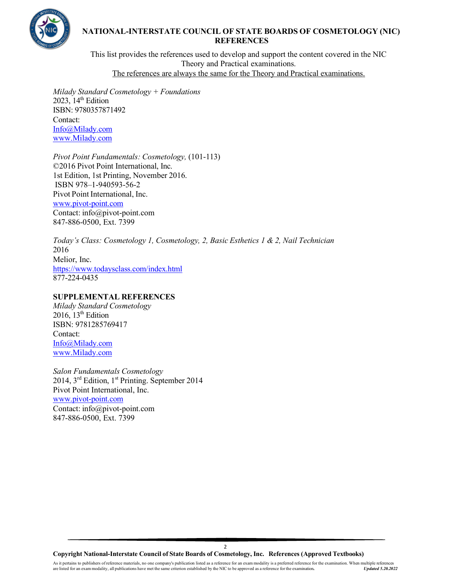

This list provides the references used to develop and support the content covered in the NIC Theory and Practical examinations. The references are always the same for the Theory and Practical examinations.

*Milady Standard Cosmetology + Foundations* 2023,  $14<sup>th</sup>$  Edition ISBN: 9780357871492 Contact: [Info@Milady.com](mailto:Info@Milady.com) [www.Milady.com](http://www.milady.com/)

*Pivot Point Fundamentals: Cosmetology,* (101-113) ©2016 Pivot Point International, Inc. 1st Edition, 1st Printing, November 2016. ISBN 978–1-940593-56-2 Pivot Point International, Inc. [www.pivot-point.com](http://www.pivot-point.com/) Contact: [info@pivot-point.com](mailto:info@pivot-point.com) 847-886-0500, Ext. 7399

*Today's Class: Cosmetology 1, Cosmetology, 2, Basic Esthetics 1 & 2, Nail Technician* 2016 Melior, Inc. <https://www.todaysclass.com/index.html> 877-224-0435

### **SUPPLEMENTAL REFERENCES**

*Milady Standard Cosmetology* 2016,  $13<sup>th</sup>$  Edition ISBN: 9781285769417 Contact: [Info@Milady.com](mailto:Info@Milady.com) [www.Milady.com](http://www.milady.com/)

*Salon Fundamentals Cosmetology* 2014, 3<sup>rd</sup> Edition, 1<sup>st</sup> Printing. September 2014 Pivot Point International, Inc. [www.pivot-point.com](http://www.pivot-point.com/) Contact: [info@pivot-point.com](mailto:info@pivot-point.com) 847-886-0500, Ext. 7399

**Copyright National-Interstate Council of State Boards of Cosmetology, Inc. References (Approved Textbooks)**

 $\overline{2}$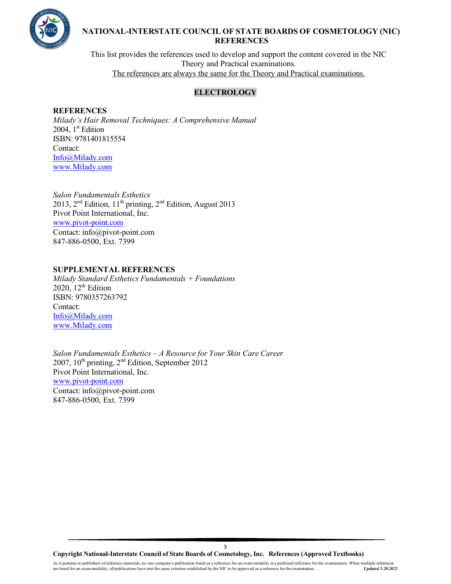

This list provides the references used to develop and support the content covered in the NIC Theory and Practical examinations. The references are always the same for the Theory and Practical examinations.

# **ELECTROLOGY**

### **REFERENCES**

*Milady's Hair Removal Techniques: A Comprehensive Manual* 2004,  $1<sup>st</sup>$  Edition ISBN: 9781401815554 Contact: [Info@Milady.com](mailto:Info@Milady.com) [www.Milady.com](http://www.milady.com/)

*Salon Fundamentals Esthetics* 2013,  $2<sup>nd</sup>$  Edition,  $11<sup>th</sup>$  printing,  $2<sup>nd</sup>$  Edition, August 2013 Pivot Point International, Inc. [www.pivot-point.com](http://www.pivot-point.com/) Contact: [info@pivot-point.com](mailto:info@pivot-point.com) 847-886-0500, Ext. 7399

### **SUPPLEMENTAL REFERENCES**

*Milady Standard Esthetics Fundamentals + Foundations*  $2020$ ,  $12<sup>th</sup>$  Edition ISBN: 9780357263792 Contact: [Info@Milady.com](mailto:Info@Milady.com) [www.Milady.com](http://www.milady.com/)

*Salon Fundamentals Esthetics – A Resource for Your Skin Care Career* 2007, 10th printing, 2nd Edition, September 2012 Pivot Point International, Inc. [www.pivot-point.com](http://www.pivot-point.com/) Contact: [info@pivot-point.com](mailto:info@pivot-point.com) 847-886-0500, Ext. 7399

**Copyright National-Interstate Council of State Boards of Cosmetology, Inc. References (Approved Textbooks)**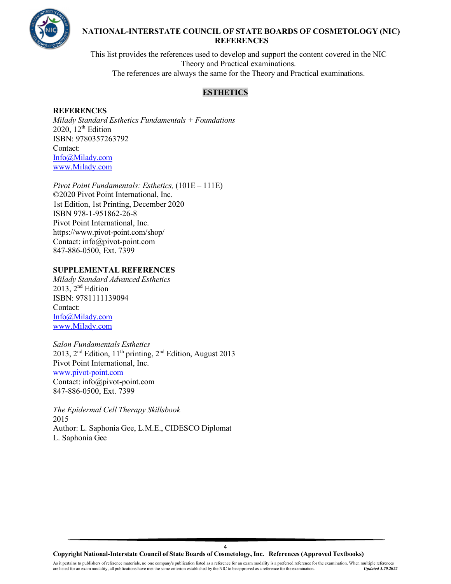

This list provides the references used to develop and support the content covered in the NIC Theory and Practical examinations. The references are always the same for the Theory and Practical examinations.

# **ESTHETICS**

## **REFERENCES**

*Milady Standard Esthetics Fundamentals + Foundations* 2020,  $12<sup>th</sup>$  Edition ISBN: 9780357263792 Contact: [Info@Milady.com](mailto:Info@Milady.com) [www.Milady.com](http://www.milady.com/)

*Pivot Point Fundamentals: Esthetics,* (101E – 111E) ©2020 Pivot Point International, Inc. 1st Edition, 1st Printing, December 2020 ISBN 978-1-951862-26-8 Pivot Point International, Inc. <https://www.pivot-point.com/shop/> Contact: [info@pivot-point.com](mailto:info@pivot-point.com) 847-886-0500, Ext. 7399

### **SUPPLEMENTAL REFERENCES**

*Milady Standard Advanced Esthetics*  $2013$ ,  $2<sup>nd</sup>$  Edition ISBN: 9781111139094 Contact: [Info@Milady.com](mailto:Info@Milady.com) [www.Milady.com](http://www.milady.com/)

*Salon Fundamentals Esthetics* 2013, 2<sup>nd</sup> Edition, 11<sup>th</sup> printing, 2<sup>nd</sup> Edition, August 2013 Pivot Point International, Inc. [www.pivot-point.com](http://www.pivot-point.com/) Contact: [info@pivot-point.com](mailto:info@pivot-point.com) 847-886-0500, Ext. 7399

*The Epidermal Cell Therapy Skillsbook* 2015 Author: L. Saphonia Gee, L.M.E., CIDESCO Diplomat L. Saphonia Gee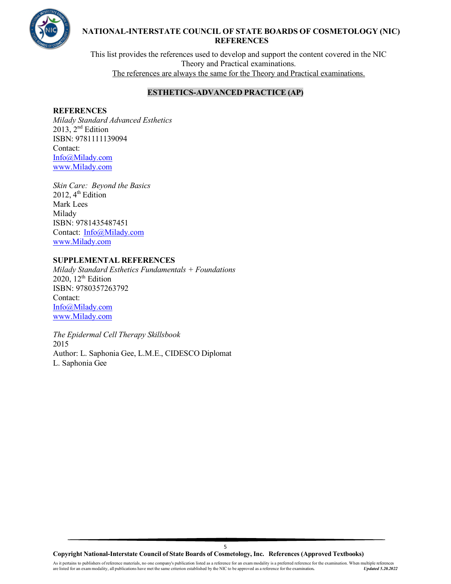

This list provides the references used to develop and support the content covered in the NIC Theory and Practical examinations. The references are always the same for the Theory and Practical examinations.

# **ESTHETICS-ADVANCED PRACTICE (AP)**

#### **REFERENCES**

*Milady Standard Advanced Esthetics* 2013, 2nd Edition ISBN: 9781111139094 Contact: [Info@Milady.com](mailto:Info@Milady.com) [www.Milady.com](http://www.milady.com/)

*Skin Care: Beyond the Basics* 2012,  $4^{\text{th}}$  Edition Mark Lees Milady ISBN: 9781435487451 Contact: [Info@Milady.com](mailto:Info@Milady.com) [www.Milady.com](http://www.milady.com/)

## **SUPPLEMENTAL REFERENCES**

*Milady Standard Esthetics Fundamentals + Foundations* 2020,  $12<sup>th</sup>$  Edition ISBN: 9780357263792 Contact: [Info@Milady.com](mailto:Info@Milady.com) [www.Milady.com](http://www.milady.com/)

*The Epidermal Cell Therapy Skillsbook* 2015 Author: L. Saphonia Gee, L.M.E., CIDESCO Diplomat L. Saphonia Gee

**Copyright National-Interstate Council of State Boards of Cosmetology, Inc. References (Approved Textbooks)**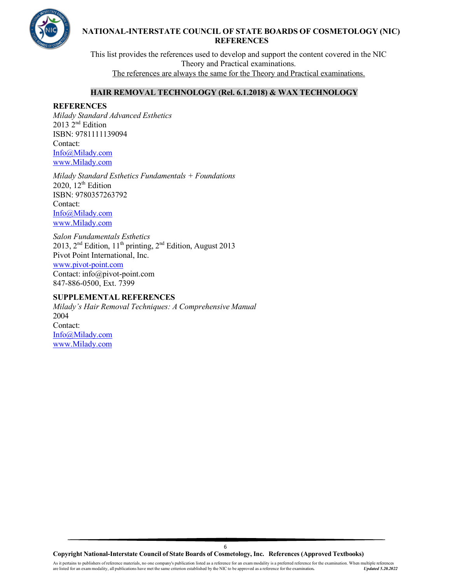

This list provides the references used to develop and support the content covered in the NIC Theory and Practical examinations. The references are always the same for the Theory and Practical examinations.

### **HAIR REMOVAL TECHNOLOGY (Rel. 6.1.2018) & WAX TECHNOLOGY**

#### **REFERENCES**

*Milady Standard Advanced Esthetics* 2013 2nd Edition ISBN: 9781111139094 Contact: [Info@Milady.com](mailto:Info@Milady.com) [www.Milady.com](http://www.milady.com/)

*Milady Standard Esthetics Fundamentals + Foundations* 2020,  $12^{th}$  Edition ISBN: 9780357263792 Contact: [Info@Milady.com](mailto:Info@Milady.com) [www.Milady.com](http://www.milady.com/)

*Salon Fundamentals Esthetics* 2013, 2nd Edition, 11th printing, 2nd Edition, August 2013 Pivot Point International, Inc. [www.pivot-point.com](http://www.pivot-point.com/) Contact: [info@pivot-point.com](mailto:info@pivot-point.com) 847-886-0500, Ext. 7399

#### **SUPPLEMENTAL REFERENCES**

*Milady's Hair Removal Techniques: A Comprehensive Manual* 2004 Contact: [Info@Milady.com](mailto:Info@Milady.com) [www.Milady.com](http://www.milady.com/)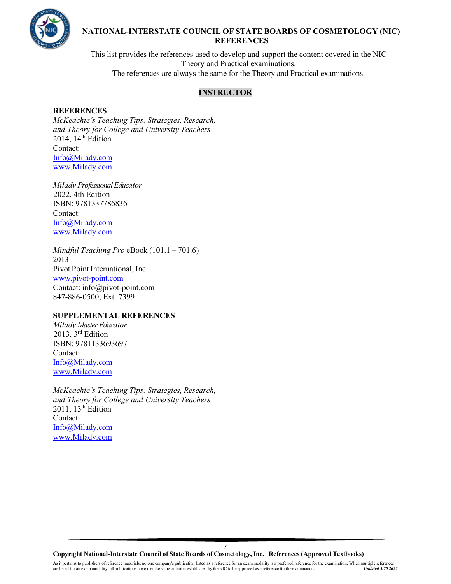

This list provides the references used to develop and support the content covered in the NIC Theory and Practical examinations. The references are always the same for the Theory and Practical examinations.

# **INSTRUCTOR**

#### **REFERENCES**

*McKeachie's Teaching Tips: Strategies, Research, and Theory for College and University Teachers*  2014,  $14<sup>th</sup>$  Edition Contact: [Info@Milady.com](mailto:Info@Milady.com) [www.Milady.com](http://www.milady.com/)

*Milady Professional Educator*  2022, 4th Edition ISBN: 9781337786836 Contact: [Info@Milady.com](mailto:Info@Milady.com) [www.Milady.com](http://www.milady.com/)

*Mindful Teaching Pro* eBook (101.1 – 701.6) 2013 Pivot Point International, Inc. [www.pivot-point.com](http://www.pivot-point.com/) Contact: [info@pivot-point.com](mailto:info@pivot-point.com) 847-886-0500, Ext. 7399

#### **SUPPLEMENTAL REFERENCES**

*Milady MasterEducator*  2013, 3<sup>rd</sup> Edition ISBN: 9781133693697 Contact: [Info@Milady.com](mailto:Info@Milady.com) [www.Milady.com](http://www.milady.com/)

*McKeachie's Teaching Tips: Strategies, Research, and Theory for College and University Teachers*   $2011$ ,  $13<sup>th</sup>$  Edition Contact: [Info@Milady.com](mailto:Info@Milady.com) [www.Milady.com](http://www.milady.com/)

**Copyright National-Interstate Council of State Boards of Cosmetology, Inc. References (Approved Textbooks)**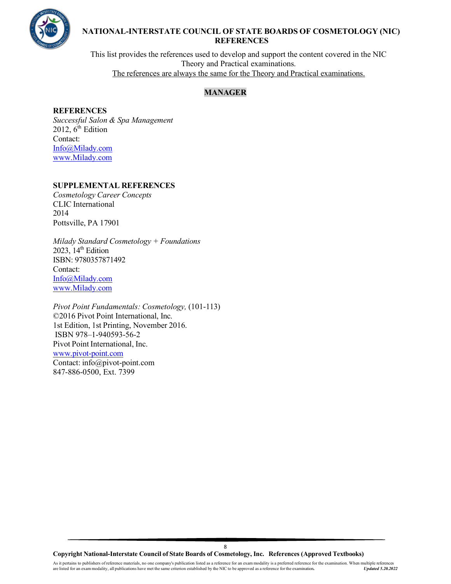

This list provides the references used to develop and support the content covered in the NIC Theory and Practical examinations. The references are always the same for the Theory and Practical examinations.

## **MANAGER**

### **REFERENCES**

*Successful Salon & Spa Management* 2012,  $6<sup>th</sup>$  Edition Contact: [Info@Milady.com](mailto:Info@Milady.com) [www.Milady.com](http://www.milady.com/)

### **SUPPLEMENTAL REFERENCES**

*Cosmetology Career Concepts* CLIC International 2014 Pottsville, PA 17901

*Milady Standard Cosmetology + Foundations* 2023,  $14<sup>th</sup>$  Edition ISBN: 9780357871492 Contact: [Info@Milady.com](mailto:Info@Milady.com) [www.Milady.com](http://www.milady.com/)

*Pivot Point Fundamentals: Cosmetology,* (101-113) ©2016 Pivot Point International, Inc. 1st Edition, 1st Printing, November 2016. ISBN 978–1-940593-56-2 Pivot Point International, Inc. [www.pivot-point.com](http://www.pivot-point.com/) Contact: [info@pivot-point.com](mailto:info@pivot-point.com) 847-886-0500, Ext. 7399

**Copyright National-Interstate Council of State Boards of Cosmetology, Inc. References (Approved Textbooks)**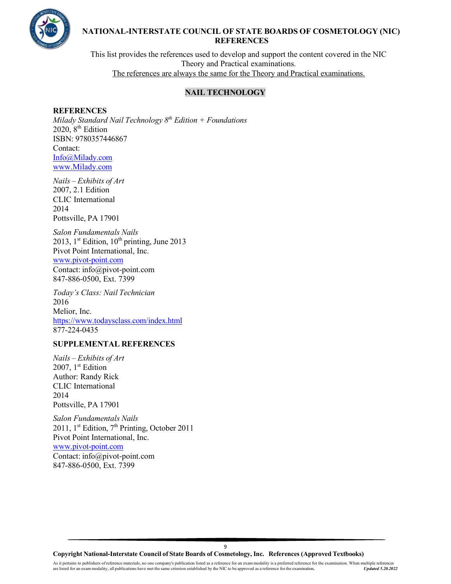

This list provides the references used to develop and support the content covered in the NIC Theory and Practical examinations. The references are always the same for the Theory and Practical examinations.

# **NAIL TECHNOLOGY**

#### **REFERENCES**

*Milady Standard Nail Technology 8th Edition + Foundations* 2020, 8<sup>th</sup> Edition ISBN: 9780357446867 Contact: [Info@Milady.com](mailto:Info@Milady.com) [www.Milady.com](http://www.milady.com/)

*Nails – Exhibits of Art*  2007, 2.1 Edition CLIC International 2014 Pottsville, PA 17901

*Salon Fundamentals Nails* 2013, 1st Edition,  $10^{th}$  printing, June 2013 Pivot Point International, Inc. [www.pivot-point.com](http://www.pivot-point.com/) Contact: [info@pivot-point.com](mailto:info@pivot-point.com) 847-886-0500, Ext. 7399

*Today's Class: Nail Technician* 2016 Melior, Inc. <https://www.todaysclass.com/index.html> 877-224-0435

## **SUPPLEMENTAL REFERENCES**

*Nails – Exhibits of Art*  2007, 1<sup>st</sup> Edition Author: Randy Rick CLIC International 2014 Pottsville, PA 17901

*Salon Fundamentals Nails* 2011, 1st Edition,  $7<sup>th</sup>$  Printing, October 2011 Pivot Point International, Inc. [www.pivot-point.com](http://www.pivot-point.com/) Contact: [info@pivot-point.com](mailto:info@pivot-point.com) 847-886-0500, Ext. 7399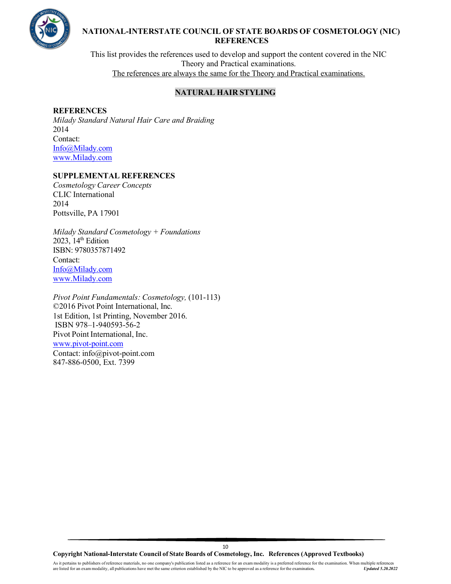

This list provides the references used to develop and support the content covered in the NIC Theory and Practical examinations. The references are always the same for the Theory and Practical examinations.

## **NATURAL HAIR STYLING**

#### **REFERENCES**

*Milady Standard Natural Hair Care and Braiding* 2014 Contact: [Info@Milady.com](mailto:Info@Milady.com) [www.Milady.com](http://www.milady.com/)

## **SUPPLEMENTAL REFERENCES**

*Cosmetology Career Concepts* CLIC International 2014 Pottsville, PA 17901

*Milady Standard Cosmetology + Foundations*  $2023$ ,  $14<sup>th</sup>$  Edition ISBN: 9780357871492 Contact: [Info@Milady.com](mailto:Info@Milady.com) [www.Milady.com](http://www.milady.com/)

*Pivot Point Fundamentals: Cosmetology,* (101-113) ©2016 Pivot Point International, Inc. 1st Edition, 1st Printing, November 2016. ISBN 978–1-940593-56-2 Pivot Point International, Inc. [www.pivot-point.com](http://www.pivot-point.com/) Contact: [info@pivot-point.com](mailto:info@pivot-point.com) 847-886-0500, Ext. 7399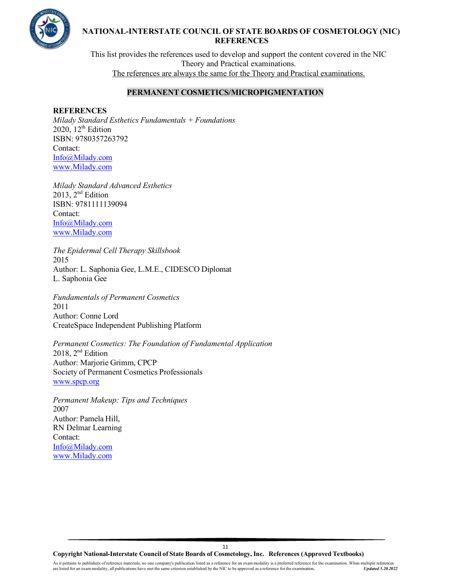

This list provides the references used to develop and support the content covered in the NIC Theory and Practical examinations. The references are always the same for the Theory and Practical examinations.

# **PERMANENT COSMETICS/MICROPIGMENTATION**

#### **REFERENCES**

*Milady Standard Esthetics Fundamentals + Foundations* 2020,  $12<sup>th</sup>$  Edition ISBN: 9780357263792 Contact: [Info@Milady.com](mailto:Info@Milady.com) [www.Milady.com](http://www.milady.com/)

*Milady Standard Advanced Esthetics*  $2013$ ,  $2<sup>nd</sup> Edition$ ISBN: 9781111139094 Contact: [Info@Milady.com](mailto:Info@Milady.com) [www.Milady.com](http://www.milady.com/)

*The Epidermal Cell Therapy Skillsbook* 2015 Author: L. Saphonia Gee, L.M.E., CIDESCO Diplomat L. Saphonia Gee

*Fundamentals of Permanent Cosmetics* 2011 Author: Conne Lord CreateSpace Independent Publishing Platform

*Permanent Cosmetics: The Foundation of Fundamental Application* 2018,  $2<sup>nd</sup>$  Edition Author: Marjorie Grimm, CPCP Society of Permanent Cosmetics Professionals [www.spcp.org](http://www.spcp.org/)

*Permanent Makeup: Tips and Techniques* 2007 Author: Pamela Hill, RN Delmar Learning Contact: [Info@Milady.com](mailto:Info@Milady.com) [www.Milady.com](http://www.milady.com/)

**Copyright National-Interstate Council of State Boards of Cosmetology, Inc. References (Approved Textbooks)**